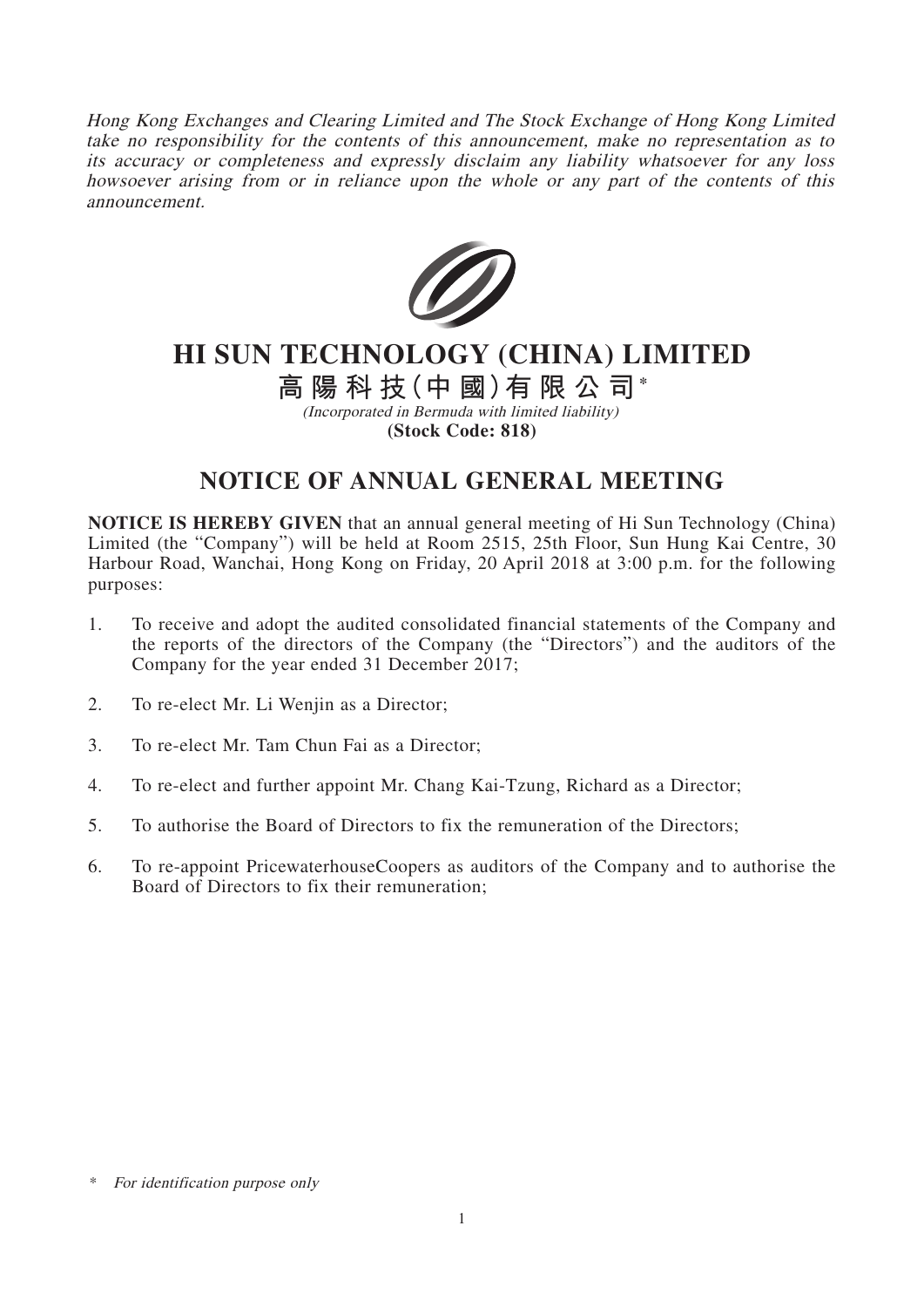Hong Kong Exchanges and Clearing Limited and The Stock Exchange of Hong Kong Limited take no responsibility for the contents of this announcement, make no representation as to its accuracy or completeness and expressly disclaim any liability whatsoever for any loss howsoever arising from or in reliance upon the whole or any part of the contents of this announcement.



# **HI SUN TECHNOLOGY (CHINA) LIMITED**

## **高陽科技(中 國)有限公司\***

(Incorporated in Bermuda with limited liability) **(Stock Code: 818)**

### **NOTICE OF ANNUAL GENERAL MEETING**

**NOTICE IS HEREBY GIVEN** that an annual general meeting of Hi Sun Technology (China) Limited (the "Company") will be held at Room 2515, 25th Floor, Sun Hung Kai Centre, 30 Harbour Road, Wanchai, Hong Kong on Friday, 20 April 2018 at 3:00 p.m. for the following purposes:

- 1. To receive and adopt the audited consolidated financial statements of the Company and the reports of the directors of the Company (the "Directors") and the auditors of the Company for the year ended 31 December 2017;
- 2. To re-elect Mr. Li Wenjin as a Director;
- 3. To re-elect Mr. Tam Chun Fai as a Director;
- 4. To re-elect and further appoint Mr. Chang Kai-Tzung, Richard as a Director;
- 5. To authorise the Board of Directors to fix the remuneration of the Directors;
- 6. To re-appoint PricewaterhouseCoopers as auditors of the Company and to authorise the Board of Directors to fix their remuneration;

<sup>\*</sup> For identification purpose only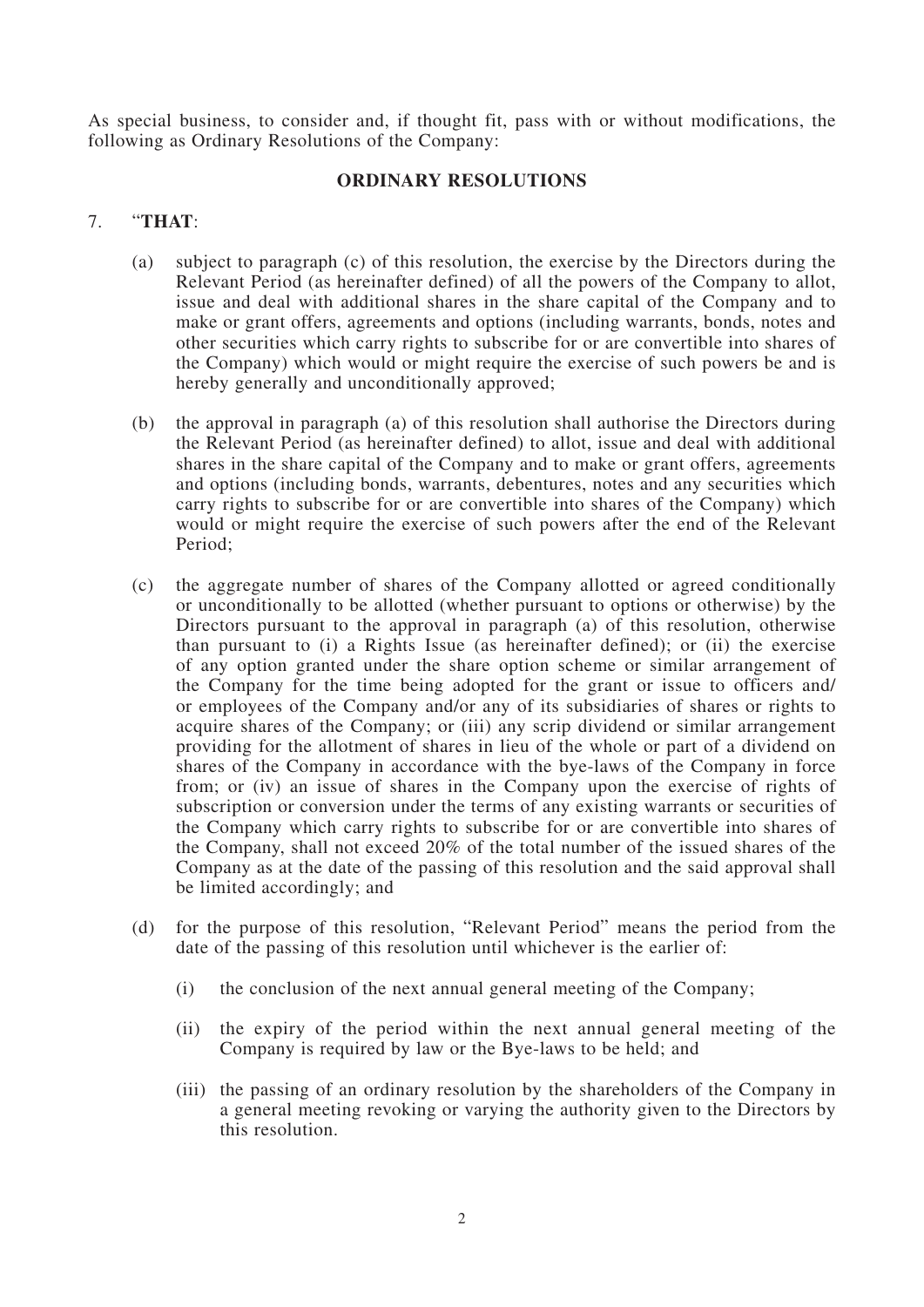As special business, to consider and, if thought fit, pass with or without modifications, the following as Ordinary Resolutions of the Company:

#### **ORDINARY RESOLUTIONS**

#### 7. "**THAT**:

- (a) subject to paragraph (c) of this resolution, the exercise by the Directors during the Relevant Period (as hereinafter defined) of all the powers of the Company to allot, issue and deal with additional shares in the share capital of the Company and to make or grant offers, agreements and options (including warrants, bonds, notes and other securities which carry rights to subscribe for or are convertible into shares of the Company) which would or might require the exercise of such powers be and is hereby generally and unconditionally approved;
- (b) the approval in paragraph (a) of this resolution shall authorise the Directors during the Relevant Period (as hereinafter defined) to allot, issue and deal with additional shares in the share capital of the Company and to make or grant offers, agreements and options (including bonds, warrants, debentures, notes and any securities which carry rights to subscribe for or are convertible into shares of the Company) which would or might require the exercise of such powers after the end of the Relevant Period;
- (c) the aggregate number of shares of the Company allotted or agreed conditionally or unconditionally to be allotted (whether pursuant to options or otherwise) by the Directors pursuant to the approval in paragraph (a) of this resolution, otherwise than pursuant to (i) a Rights Issue (as hereinafter defined); or (ii) the exercise of any option granted under the share option scheme or similar arrangement of the Company for the time being adopted for the grant or issue to officers and/ or employees of the Company and/or any of its subsidiaries of shares or rights to acquire shares of the Company; or (iii) any scrip dividend or similar arrangement providing for the allotment of shares in lieu of the whole or part of a dividend on shares of the Company in accordance with the bye-laws of the Company in force from; or (iv) an issue of shares in the Company upon the exercise of rights of subscription or conversion under the terms of any existing warrants or securities of the Company which carry rights to subscribe for or are convertible into shares of the Company, shall not exceed 20% of the total number of the issued shares of the Company as at the date of the passing of this resolution and the said approval shall be limited accordingly; and
- (d) for the purpose of this resolution, "Relevant Period" means the period from the date of the passing of this resolution until whichever is the earlier of:
	- (i) the conclusion of the next annual general meeting of the Company;
	- (ii) the expiry of the period within the next annual general meeting of the Company is required by law or the Bye-laws to be held; and
	- (iii) the passing of an ordinary resolution by the shareholders of the Company in a general meeting revoking or varying the authority given to the Directors by this resolution.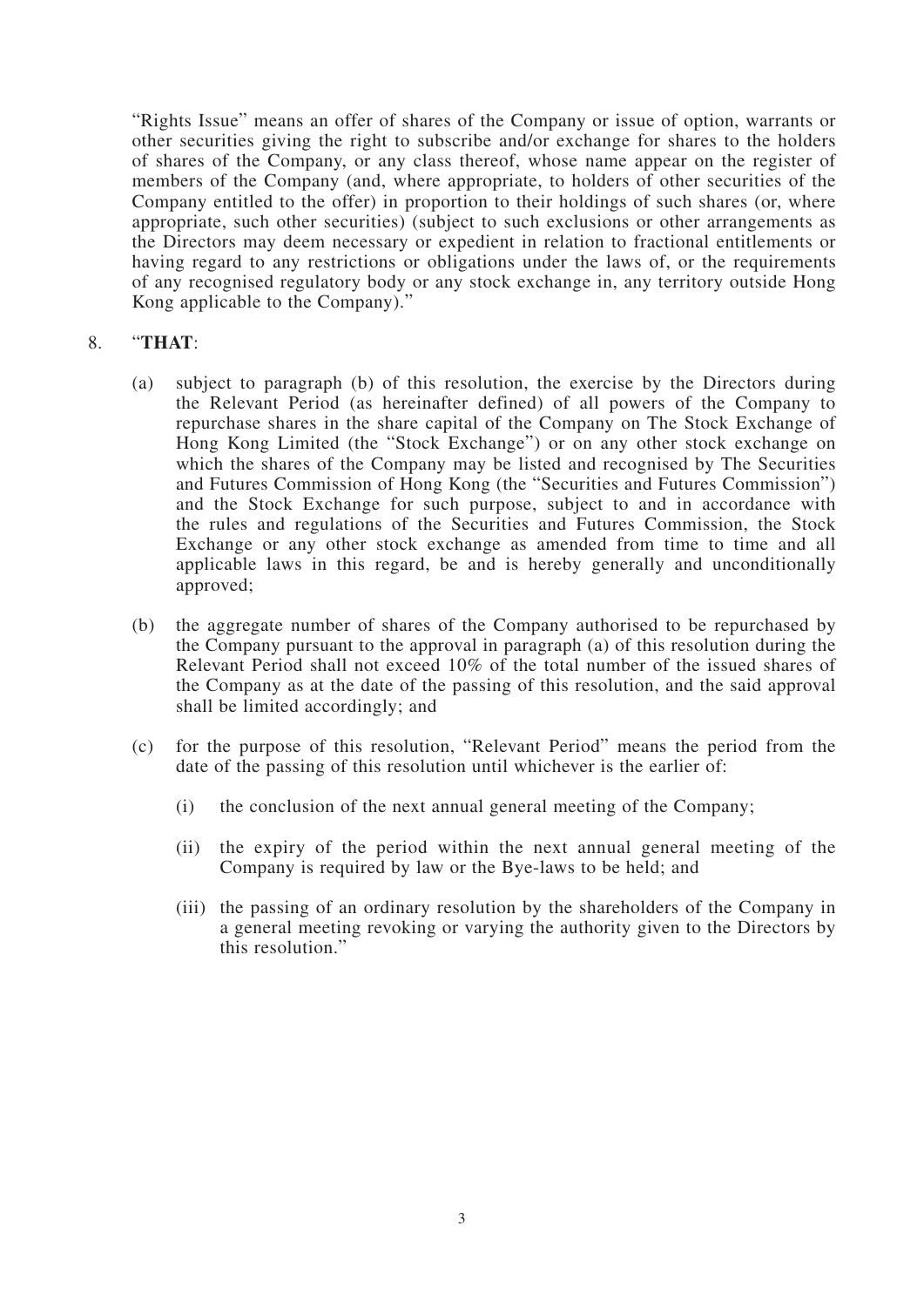"Rights Issue" means an offer of shares of the Company or issue of option, warrants or other securities giving the right to subscribe and/or exchange for shares to the holders of shares of the Company, or any class thereof, whose name appear on the register of members of the Company (and, where appropriate, to holders of other securities of the Company entitled to the offer) in proportion to their holdings of such shares (or, where appropriate, such other securities) (subject to such exclusions or other arrangements as the Directors may deem necessary or expedient in relation to fractional entitlements or having regard to any restrictions or obligations under the laws of, or the requirements of any recognised regulatory body or any stock exchange in, any territory outside Hong Kong applicable to the Company)."

### 8. "**THAT**:

- (a) subject to paragraph (b) of this resolution, the exercise by the Directors during the Relevant Period (as hereinafter defined) of all powers of the Company to repurchase shares in the share capital of the Company on The Stock Exchange of Hong Kong Limited (the "Stock Exchange") or on any other stock exchange on which the shares of the Company may be listed and recognised by The Securities and Futures Commission of Hong Kong (the "Securities and Futures Commission") and the Stock Exchange for such purpose, subject to and in accordance with the rules and regulations of the Securities and Futures Commission, the Stock Exchange or any other stock exchange as amended from time to time and all applicable laws in this regard, be and is hereby generally and unconditionally approved;
- (b) the aggregate number of shares of the Company authorised to be repurchased by the Company pursuant to the approval in paragraph (a) of this resolution during the Relevant Period shall not exceed 10% of the total number of the issued shares of the Company as at the date of the passing of this resolution, and the said approval shall be limited accordingly; and
- (c) for the purpose of this resolution, "Relevant Period" means the period from the date of the passing of this resolution until whichever is the earlier of:
	- (i) the conclusion of the next annual general meeting of the Company;
	- (ii) the expiry of the period within the next annual general meeting of the Company is required by law or the Bye-laws to be held; and
	- (iii) the passing of an ordinary resolution by the shareholders of the Company in a general meeting revoking or varying the authority given to the Directors by this resolution."